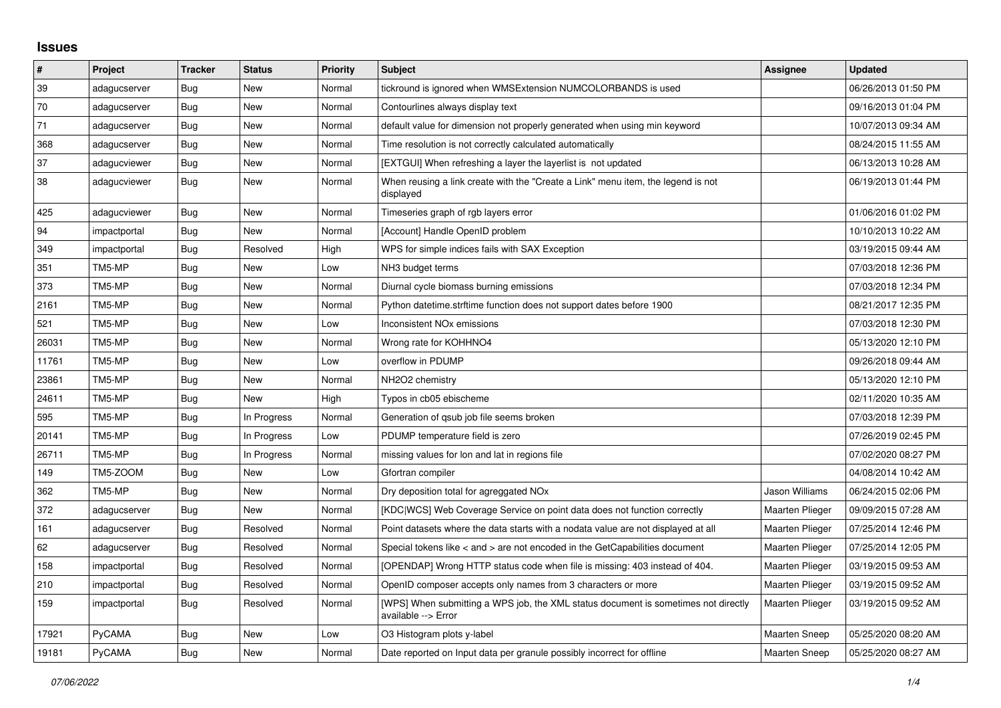## **Issues**

| #     | Project      | <b>Tracker</b> | <b>Status</b> | <b>Priority</b> | <b>Subject</b>                                                                                            | Assignee               | <b>Updated</b>      |
|-------|--------------|----------------|---------------|-----------------|-----------------------------------------------------------------------------------------------------------|------------------------|---------------------|
| 39    | adagucserver | Bug            | New           | Normal          | tickround is ignored when WMSExtension NUMCOLORBANDS is used                                              |                        | 06/26/2013 01:50 PM |
| 70    | adagucserver | Bug            | <b>New</b>    | Normal          | Contourlines always display text                                                                          |                        | 09/16/2013 01:04 PM |
| 71    | adagucserver | Bug            | New           | Normal          | default value for dimension not properly generated when using min keyword                                 |                        | 10/07/2013 09:34 AM |
| 368   | adagucserver | <b>Bug</b>     | <b>New</b>    | Normal          | Time resolution is not correctly calculated automatically                                                 |                        | 08/24/2015 11:55 AM |
| 37    | adagucviewer | <b>Bug</b>     | <b>New</b>    | Normal          | [EXTGUI] When refreshing a layer the layerlist is not updated                                             |                        | 06/13/2013 10:28 AM |
| 38    | adagucviewer | Bug            | <b>New</b>    | Normal          | When reusing a link create with the "Create a Link" menu item, the legend is not<br>displayed             |                        | 06/19/2013 01:44 PM |
| 425   | adagucviewer | Bug            | New           | Normal          | Timeseries graph of rgb layers error                                                                      |                        | 01/06/2016 01:02 PM |
| 94    | impactportal | <b>Bug</b>     | <b>New</b>    | Normal          | [Account] Handle OpenID problem                                                                           |                        | 10/10/2013 10:22 AM |
| 349   | impactportal | <b>Bug</b>     | Resolved      | High            | WPS for simple indices fails with SAX Exception                                                           |                        | 03/19/2015 09:44 AM |
| 351   | TM5-MP       | <b>Bug</b>     | <b>New</b>    | Low             | NH <sub>3</sub> budget terms                                                                              |                        | 07/03/2018 12:36 PM |
| 373   | TM5-MP       | Bug            | <b>New</b>    | Normal          | Diurnal cycle biomass burning emissions                                                                   |                        | 07/03/2018 12:34 PM |
| 2161  | TM5-MP       | <b>Bug</b>     | <b>New</b>    | Normal          | Python datetime.strftime function does not support dates before 1900                                      |                        | 08/21/2017 12:35 PM |
| 521   | TM5-MP       | Bug            | New           | Low             | Inconsistent NO <sub>x</sub> emissions                                                                    |                        | 07/03/2018 12:30 PM |
| 26031 | TM5-MP       | Bug            | New           | Normal          | Wrong rate for KOHHNO4                                                                                    |                        | 05/13/2020 12:10 PM |
| 11761 | TM5-MP       | Bug            | <b>New</b>    | Low             | overflow in PDUMP                                                                                         |                        | 09/26/2018 09:44 AM |
| 23861 | TM5-MP       | Bug            | <b>New</b>    | Normal          | NH2O2 chemistry                                                                                           |                        | 05/13/2020 12:10 PM |
| 24611 | TM5-MP       | Bug            | <b>New</b>    | High            | Typos in cb05 ebischeme                                                                                   |                        | 02/11/2020 10:35 AM |
| 595   | TM5-MP       | <b>Bug</b>     | In Progress   | Normal          | Generation of qsub job file seems broken                                                                  |                        | 07/03/2018 12:39 PM |
| 20141 | TM5-MP       | Bug            | In Progress   | Low             | PDUMP temperature field is zero                                                                           |                        | 07/26/2019 02:45 PM |
| 26711 | TM5-MP       | Bug            | In Progress   | Normal          | missing values for lon and lat in regions file                                                            |                        | 07/02/2020 08:27 PM |
| 149   | TM5-ZOOM     | Bug            | <b>New</b>    | Low             | Gfortran compiler                                                                                         |                        | 04/08/2014 10:42 AM |
| 362   | TM5-MP       | Bug            | <b>New</b>    | Normal          | Dry deposition total for agreggated NO <sub>x</sub>                                                       | Jason Williams         | 06/24/2015 02:06 PM |
| 372   | adagucserver | Bug            | <b>New</b>    | Normal          | [KDC WCS] Web Coverage Service on point data does not function correctly                                  | <b>Maarten Plieger</b> | 09/09/2015 07:28 AM |
| 161   | adagucserver | Bug            | Resolved      | Normal          | Point datasets where the data starts with a nodata value are not displayed at all                         | <b>Maarten Plieger</b> | 07/25/2014 12:46 PM |
| 62    | adagucserver | Bug            | Resolved      | Normal          | Special tokens like $\lt$ and $\gt$ are not encoded in the GetCapabilities document                       | <b>Maarten Plieger</b> | 07/25/2014 12:05 PM |
| 158   | impactportal | Bug            | Resolved      | Normal          | [OPENDAP] Wrong HTTP status code when file is missing: 403 instead of 404.                                | Maarten Plieger        | 03/19/2015 09:53 AM |
| 210   | impactportal | Bug            | Resolved      | Normal          | OpenID composer accepts only names from 3 characters or more                                              | <b>Maarten Plieger</b> | 03/19/2015 09:52 AM |
| 159   | impactportal | Bug            | Resolved      | Normal          | [WPS] When submitting a WPS job, the XML status document is sometimes not directly<br>available --> Error | <b>Maarten Plieger</b> | 03/19/2015 09:52 AM |
| 17921 | PyCAMA       | Bug            | <b>New</b>    | Low             | O3 Histogram plots y-label                                                                                | <b>Maarten Sneep</b>   | 05/25/2020 08:20 AM |
| 19181 | PyCAMA       | Bug            | <b>New</b>    | Normal          | Date reported on Input data per granule possibly incorrect for offline                                    | <b>Maarten Sneep</b>   | 05/25/2020 08:27 AM |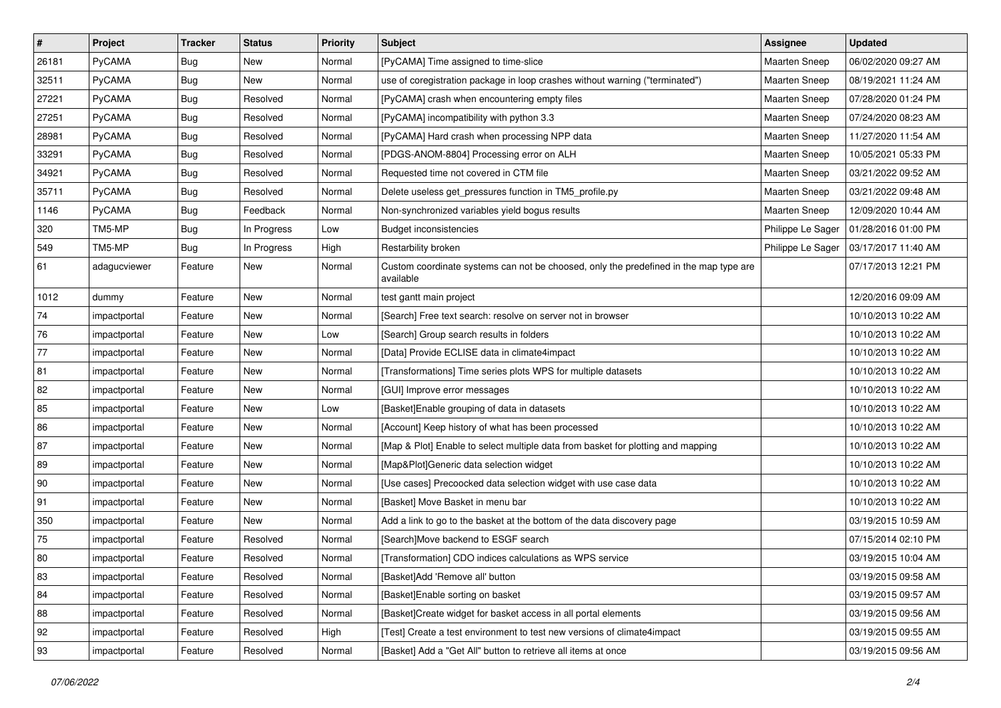| $\sharp$   | Project       | <b>Tracker</b> | <b>Status</b> | <b>Priority</b> | Subject                                                                                            | Assignee             | <b>Updated</b>      |
|------------|---------------|----------------|---------------|-----------------|----------------------------------------------------------------------------------------------------|----------------------|---------------------|
| 26181      | <b>PyCAMA</b> | <b>Bug</b>     | New           | Normal          | [PyCAMA] Time assigned to time-slice                                                               | <b>Maarten Sneep</b> | 06/02/2020 09:27 AM |
| 32511      | PyCAMA        | <b>Bug</b>     | New           | Normal          | use of coregistration package in loop crashes without warning ("terminated")                       | <b>Maarten Sneep</b> | 08/19/2021 11:24 AM |
| 27221      | <b>PyCAMA</b> | <b>Bug</b>     | Resolved      | Normal          | [PyCAMA] crash when encountering empty files                                                       | Maarten Sneep        | 07/28/2020 01:24 PM |
| 27251      | PyCAMA        | Bug            | Resolved      | Normal          | [PyCAMA] incompatibility with python 3.3                                                           | <b>Maarten Sneep</b> | 07/24/2020 08:23 AM |
| 28981      | PyCAMA        | <b>Bug</b>     | Resolved      | Normal          | [PyCAMA] Hard crash when processing NPP data                                                       | Maarten Sneep        | 11/27/2020 11:54 AM |
| 33291      | <b>PyCAMA</b> | <b>Bug</b>     | Resolved      | Normal          | [PDGS-ANOM-8804] Processing error on ALH                                                           | <b>Maarten Sneep</b> | 10/05/2021 05:33 PM |
| 34921      | PyCAMA        | Bug            | Resolved      | Normal          | Requested time not covered in CTM file                                                             | <b>Maarten Sneep</b> | 03/21/2022 09:52 AM |
| 35711      | <b>PyCAMA</b> | <b>Bug</b>     | Resolved      | Normal          | Delete useless get_pressures function in TM5_profile.py                                            | <b>Maarten Sneep</b> | 03/21/2022 09:48 AM |
| 1146       | PyCAMA        | Bug            | Feedback      | Normal          | Non-synchronized variables yield bogus results                                                     | Maarten Sneep        | 12/09/2020 10:44 AM |
| 320        | TM5-MP        | Bug            | In Progress   | Low             | <b>Budget inconsistencies</b>                                                                      | Philippe Le Sager    | 01/28/2016 01:00 PM |
| 549        | TM5-MP        | <b>Bug</b>     | In Progress   | High            | Restarbility broken                                                                                | Philippe Le Sager    | 03/17/2017 11:40 AM |
| 61         | adagucviewer  | Feature        | New           | Normal          | Custom coordinate systems can not be choosed, only the predefined in the map type are<br>available |                      | 07/17/2013 12:21 PM |
| 1012       | dummy         | Feature        | <b>New</b>    | Normal          | test gantt main project                                                                            |                      | 12/20/2016 09:09 AM |
| 74         | impactportal  | Feature        | New           | Normal          | [Search] Free text search: resolve on server not in browser                                        |                      | 10/10/2013 10:22 AM |
| ${\bf 76}$ | impactportal  | Feature        | New           | Low             | [Search] Group search results in folders                                                           |                      | 10/10/2013 10:22 AM |
| 77         | impactportal  | Feature        | New           | Normal          | [Data] Provide ECLISE data in climate4impact                                                       |                      | 10/10/2013 10:22 AM |
| 81         | impactportal  | Feature        | New           | Normal          | [Transformations] Time series plots WPS for multiple datasets                                      |                      | 10/10/2013 10:22 AM |
| 82         | impactportal  | Feature        | New           | Normal          | [GUI] Improve error messages                                                                       |                      | 10/10/2013 10:22 AM |
| 85         | impactportal  | Feature        | New           | Low             | [Basket]Enable grouping of data in datasets                                                        |                      | 10/10/2013 10:22 AM |
| 86         | impactportal  | Feature        | New           | Normal          | [Account] Keep history of what has been processed                                                  |                      | 10/10/2013 10:22 AM |
| 87         | impactportal  | Feature        | New           | Normal          | [Map & Plot] Enable to select multiple data from basket for plotting and mapping                   |                      | 10/10/2013 10:22 AM |
| 89         | impactportal  | Feature        | New           | Normal          | [Map&Plot]Generic data selection widget                                                            |                      | 10/10/2013 10:22 AM |
| 90         | impactportal  | Feature        | New           | Normal          | [Use cases] Precoocked data selection widget with use case data                                    |                      | 10/10/2013 10:22 AM |
| 91         | impactportal  | Feature        | New           | Normal          | [Basket] Move Basket in menu bar                                                                   |                      | 10/10/2013 10:22 AM |
| 350        | impactportal  | Feature        | New           | Normal          | Add a link to go to the basket at the bottom of the data discovery page                            |                      | 03/19/2015 10:59 AM |
| $75\,$     | impactportal  | Feature        | Resolved      | Normal          | [Search]Move backend to ESGF search                                                                |                      | 07/15/2014 02:10 PM |
| 80         | impactportal  | Feature        | Resolved      | Normal          | [Transformation] CDO indices calculations as WPS service                                           |                      | 03/19/2015 10:04 AM |
| 83         | impactportal  | Feature        | Resolved      | Normal          | [Basket]Add 'Remove all' button                                                                    |                      | 03/19/2015 09:58 AM |
| 84         | impactportal  | Feature        | Resolved      | Normal          | [Basket]Enable sorting on basket                                                                   |                      | 03/19/2015 09:57 AM |
| 88         | impactportal  | Feature        | Resolved      | Normal          | [Basket]Create widget for basket access in all portal elements                                     |                      | 03/19/2015 09:56 AM |
| 92         | impactportal  | Feature        | Resolved      | High            | [Test] Create a test environment to test new versions of climate4impact                            |                      | 03/19/2015 09:55 AM |
| 93         | impactportal  | Feature        | Resolved      | Normal          | [Basket] Add a "Get All" button to retrieve all items at once                                      |                      | 03/19/2015 09:56 AM |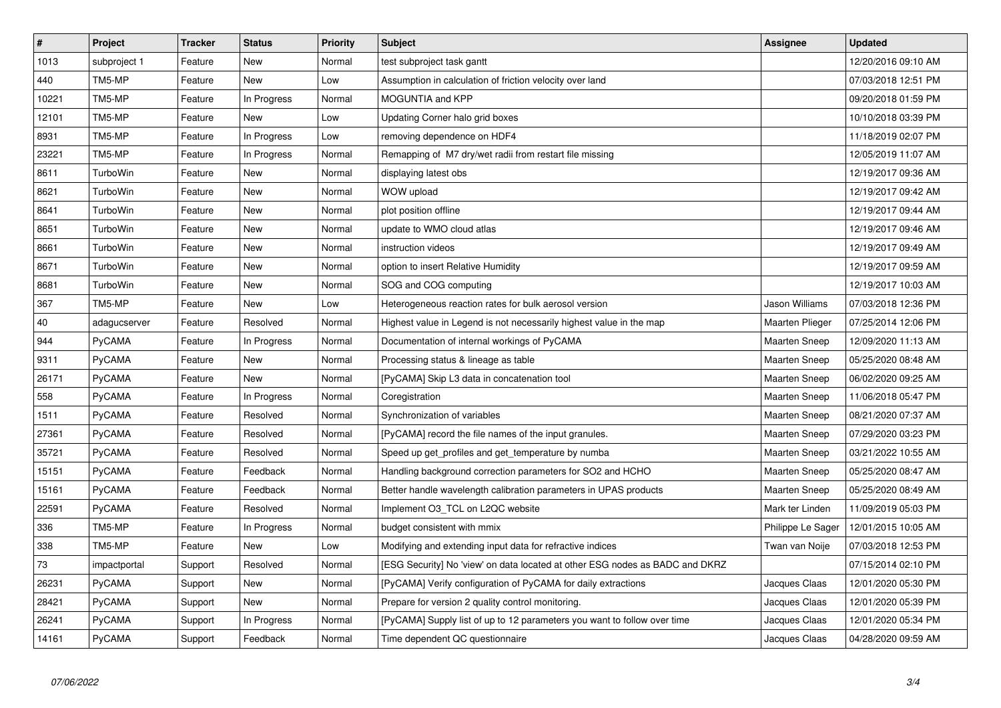| $\overline{\boldsymbol{H}}$ | Project       | <b>Tracker</b> | <b>Status</b> | <b>Priority</b> | <b>Subject</b>                                                               | Assignee               | <b>Updated</b>      |
|-----------------------------|---------------|----------------|---------------|-----------------|------------------------------------------------------------------------------|------------------------|---------------------|
| 1013                        | subproject 1  | Feature        | New           | Normal          | test subproject task gantt                                                   |                        | 12/20/2016 09:10 AM |
| 440                         | TM5-MP        | Feature        | <b>New</b>    | Low             | Assumption in calculation of friction velocity over land                     |                        | 07/03/2018 12:51 PM |
| 10221                       | TM5-MP        | Feature        | In Progress   | Normal          | MOGUNTIA and KPP                                                             |                        | 09/20/2018 01:59 PM |
| 12101                       | TM5-MP        | Feature        | New           | Low             | Updating Corner halo grid boxes                                              |                        | 10/10/2018 03:39 PM |
| 8931                        | TM5-MP        | Feature        | In Progress   | Low             | removing dependence on HDF4                                                  |                        | 11/18/2019 02:07 PM |
| 23221                       | TM5-MP        | Feature        | In Progress   | Normal          | Remapping of M7 dry/wet radii from restart file missing                      |                        | 12/05/2019 11:07 AM |
| 8611                        | TurboWin      | Feature        | New           | Normal          | displaying latest obs                                                        |                        | 12/19/2017 09:36 AM |
| 8621                        | TurboWin      | Feature        | New           | Normal          | WOW upload                                                                   |                        | 12/19/2017 09:42 AM |
| 8641                        | TurboWin      | Feature        | <b>New</b>    | Normal          | plot position offline                                                        |                        | 12/19/2017 09:44 AM |
| 8651                        | TurboWin      | Feature        | New           | Normal          | update to WMO cloud atlas                                                    |                        | 12/19/2017 09:46 AM |
| 8661                        | TurboWin      | Feature        | New           | Normal          | instruction videos                                                           |                        | 12/19/2017 09:49 AM |
| 8671                        | TurboWin      | Feature        | New           | Normal          | option to insert Relative Humidity                                           |                        | 12/19/2017 09:59 AM |
| 8681                        | TurboWin      | Feature        | New           | Normal          | SOG and COG computing                                                        |                        | 12/19/2017 10:03 AM |
| 367                         | TM5-MP        | Feature        | New           | Low             | Heterogeneous reaction rates for bulk aerosol version                        | Jason Williams         | 07/03/2018 12:36 PM |
| 40                          | adagucserver  | Feature        | Resolved      | Normal          | Highest value in Legend is not necessarily highest value in the map          | <b>Maarten Plieger</b> | 07/25/2014 12:06 PM |
| 944                         | PyCAMA        | Feature        | In Progress   | Normal          | Documentation of internal workings of PyCAMA                                 | <b>Maarten Sneep</b>   | 12/09/2020 11:13 AM |
| 9311                        | <b>PyCAMA</b> | Feature        | <b>New</b>    | Normal          | Processing status & lineage as table                                         | <b>Maarten Sneep</b>   | 05/25/2020 08:48 AM |
| 26171                       | PyCAMA        | Feature        | New           | Normal          | [PyCAMA] Skip L3 data in concatenation tool                                  | <b>Maarten Sneep</b>   | 06/02/2020 09:25 AM |
| 558                         | PyCAMA        | Feature        | In Progress   | Normal          | Coregistration                                                               | <b>Maarten Sneep</b>   | 11/06/2018 05:47 PM |
| 1511                        | PyCAMA        | Feature        | Resolved      | Normal          | Synchronization of variables                                                 | <b>Maarten Sneep</b>   | 08/21/2020 07:37 AM |
| 27361                       | PyCAMA        | Feature        | Resolved      | Normal          | [PyCAMA] record the file names of the input granules.                        | <b>Maarten Sneep</b>   | 07/29/2020 03:23 PM |
| 35721                       | PyCAMA        | Feature        | Resolved      | Normal          | Speed up get profiles and get temperature by numba                           | <b>Maarten Sneep</b>   | 03/21/2022 10:55 AM |
| 15151                       | PyCAMA        | Feature        | Feedback      | Normal          | Handling background correction parameters for SO2 and HCHO                   | <b>Maarten Sneep</b>   | 05/25/2020 08:47 AM |
| 15161                       | <b>PyCAMA</b> | Feature        | Feedback      | Normal          | Better handle wavelength calibration parameters in UPAS products             | <b>Maarten Sneep</b>   | 05/25/2020 08:49 AM |
| 22591                       | PyCAMA        | Feature        | Resolved      | Normal          | Implement O3_TCL on L2QC website                                             | Mark ter Linden        | 11/09/2019 05:03 PM |
| 336                         | TM5-MP        | Feature        | In Progress   | Normal          | budget consistent with mmix                                                  | Philippe Le Sager      | 12/01/2015 10:05 AM |
| 338                         | TM5-MP        | Feature        | New           | Low             | Modifying and extending input data for refractive indices                    | Twan van Noije         | 07/03/2018 12:53 PM |
| 73                          | impactportal  | Support        | Resolved      | Normal          | [ESG Security] No 'view' on data located at other ESG nodes as BADC and DKRZ |                        | 07/15/2014 02:10 PM |
| 26231                       | PyCAMA        | Support        | New           | Normal          | [PyCAMA] Verify configuration of PyCAMA for daily extractions                | Jacques Claas          | 12/01/2020 05:30 PM |
| 28421                       | <b>PyCAMA</b> | Support        | New           | Normal          | Prepare for version 2 quality control monitoring.                            | Jacques Claas          | 12/01/2020 05:39 PM |
| 26241                       | PyCAMA        | Support        | In Progress   | Normal          | [PyCAMA] Supply list of up to 12 parameters you want to follow over time     | Jacques Claas          | 12/01/2020 05:34 PM |
| 14161                       | <b>PyCAMA</b> | Support        | Feedback      | Normal          | Time dependent QC questionnaire                                              | Jacques Claas          | 04/28/2020 09:59 AM |